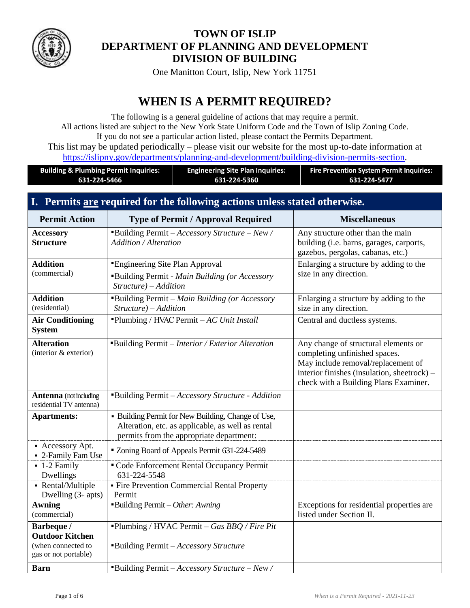

## **TOWN OF ISLIP DEPARTMENT OF PLANNING AND DEVELOPMENT DIVISION OF BUILDING**

One Manitton Court, Islip, New York 11751

# **WHEN IS A PERMIT REQUIRED?**

The following is a general guideline of actions that may require a permit. All actions listed are subject to the New York State Uniform Code and the Town of Islip Zoning Code. If you do not see a particular action listed, please contact the Permits Department. This list may be updated periodically – please visit our website for the most up-to-date information at [https://islipny.gov/departments/planning-and-development/building-division-permits-section.](https://islipny.gov/departments/planning-and-development/building-division-permits-section)

| <b>Building &amp; Plumbing Permit Inquiries:</b> | <b>Engineering Site Plan Inquiries:</b> | <b>Fire Prevention System Permit Inquiries:</b> |
|--------------------------------------------------|-----------------------------------------|-------------------------------------------------|
| 631-224-5466                                     | 631-224-5360                            | 631-224-5477                                    |

## **I. Permits are required for the following actions unless stated otherwise.**

| <b>Permit Action</b>                                                               | <b>Type of Permit / Approval Required</b>                                                                                                           | <b>Miscellaneous</b>                                                                                                                                                                                |
|------------------------------------------------------------------------------------|-----------------------------------------------------------------------------------------------------------------------------------------------------|-----------------------------------------------------------------------------------------------------------------------------------------------------------------------------------------------------|
| <b>Accessory</b><br><b>Structure</b>                                               | "Building Permit - Accessory Structure - New /<br><b>Addition / Alteration</b>                                                                      | Any structure other than the main<br>building (i.e. barns, garages, carports,<br>gazebos, pergolas, cabanas, etc.)                                                                                  |
| <b>Addition</b><br>(commercial)                                                    | <b>Engineering Site Plan Approval</b><br>"Building Permit - Main Building (or Accessory<br>$Structure$ ) – Addition                                 | Enlarging a structure by adding to the<br>size in any direction.                                                                                                                                    |
| <b>Addition</b><br>(residential)                                                   | "Building Permit - Main Building (or Accessory<br>Structure) - Addition                                                                             | Enlarging a structure by adding to the<br>size in any direction.                                                                                                                                    |
| <b>Air Conditioning</b><br><b>System</b>                                           | "Plumbing / HVAC Permit $-AC$ Unit Install                                                                                                          | Central and ductless systems.                                                                                                                                                                       |
| <b>Alteration</b><br>(interior & exterior)                                         | "Building Permit - Interior / Exterior Alteration                                                                                                   | Any change of structural elements or<br>completing unfinished spaces.<br>May include removal/replacement of<br>interior finishes (insulation, sheetrock) –<br>check with a Building Plans Examiner. |
| <b>Antenna</b> (not including<br>residential TV antenna)                           | "Building Permit - Accessory Structure - Addition                                                                                                   |                                                                                                                                                                                                     |
| <b>Apartments:</b>                                                                 | • Building Permit for New Building, Change of Use,<br>Alteration, etc. as applicable, as well as rental<br>permits from the appropriate department: |                                                                                                                                                                                                     |
| • Accessory Apt.<br>- 2-Family Fam Use                                             | " Zoning Board of Appeals Permit 631-224-5489                                                                                                       |                                                                                                                                                                                                     |
| $\blacksquare$ 1-2 Family<br>Dwellings                                             | " Code Enforcement Rental Occupancy Permit<br>631-224-5548                                                                                          |                                                                                                                                                                                                     |
| - Rental/Multiple<br>Dwelling $(3+$ apts)                                          | • Fire Prevention Commercial Rental Property<br>Permit                                                                                              |                                                                                                                                                                                                     |
| <b>Awning</b><br>(commercial)                                                      | "Building Permit - Other: Awning                                                                                                                    | Exceptions for residential properties are<br>listed under Section II.                                                                                                                               |
| Barbeque /<br><b>Outdoor Kitchen</b><br>(when connected to<br>gas or not portable) | "Plumbing / HVAC Permit - Gas $BBQ$ / Fire Pit<br>"Building Permit - Accessory Structure                                                            |                                                                                                                                                                                                     |
| <b>Barn</b>                                                                        | "Building Permit - Accessory Structure - New /                                                                                                      |                                                                                                                                                                                                     |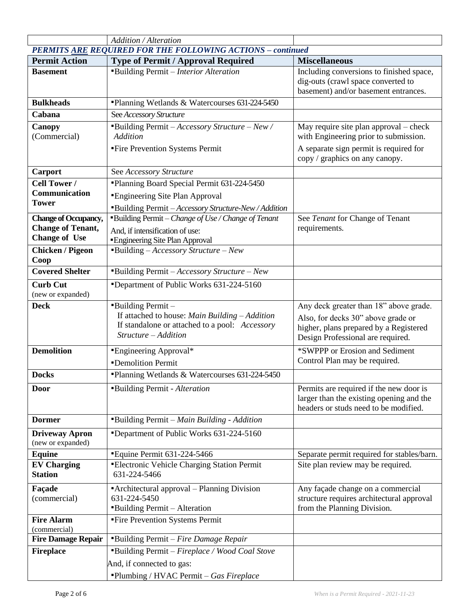|                                            | <b>Addition / Alteration</b>                                                                                                                                  |                                                                                                                                                             |
|--------------------------------------------|---------------------------------------------------------------------------------------------------------------------------------------------------------------|-------------------------------------------------------------------------------------------------------------------------------------------------------------|
|                                            | PERMITS ARE REQUIRED FOR THE FOLLOWING ACTIONS - continued                                                                                                    |                                                                                                                                                             |
| <b>Permit Action</b>                       | <b>Type of Permit / Approval Required</b>                                                                                                                     | <b>Miscellaneous</b>                                                                                                                                        |
| <b>Basement</b>                            | "Building Permit - Interior Alteration                                                                                                                        | Including conversions to finished space,<br>dig-outs (crawl space converted to<br>basement) and/or basement entrances.                                      |
| <b>Bulkheads</b>                           | "Planning Wetlands & Watercourses 631-224-5450                                                                                                                |                                                                                                                                                             |
| Cabana                                     | See Accessory Structure                                                                                                                                       |                                                                                                                                                             |
| Canopy<br>(Commercial)                     | "Building Permit - Accessory Structure - New /<br><b>Addition</b>                                                                                             | May require site plan approval – check<br>with Engineering prior to submission.                                                                             |
|                                            | "Fire Prevention Systems Permit                                                                                                                               | A separate sign permit is required for<br>copy / graphics on any canopy.                                                                                    |
| Carport                                    | See Accessory Structure                                                                                                                                       |                                                                                                                                                             |
| <b>Cell Tower /</b>                        | "Planning Board Special Permit 631-224-5450                                                                                                                   |                                                                                                                                                             |
| Communication                              | <b>Engineering Site Plan Approval</b>                                                                                                                         |                                                                                                                                                             |
| <b>Tower</b>                               | "Building Permit - Accessory Structure-New / Addition                                                                                                         |                                                                                                                                                             |
| <b>Change of Occupancy,</b>                | <b>Building Permit</b> - Change of Use / Change of Tenant                                                                                                     | See Tenant for Change of Tenant                                                                                                                             |
| <b>Change of Tenant,</b>                   | And, if intensification of use:                                                                                                                               | requirements.                                                                                                                                               |
| <b>Change of Use</b>                       | "Engineering Site Plan Approval                                                                                                                               |                                                                                                                                                             |
| <b>Chicken / Pigeon</b><br>Coop            | $\blacksquare$ Building – Accessory Structure – New                                                                                                           |                                                                                                                                                             |
| <b>Covered Shelter</b>                     | <b>Building Permit</b> $-$ <i>Accessory Structure</i> $-$ <i>New</i>                                                                                          |                                                                                                                                                             |
| <b>Curb Cut</b><br>(new or expanded)       | "Department of Public Works 631-224-5160                                                                                                                      |                                                                                                                                                             |
| <b>Deck</b>                                | $\blacksquare$ Building Permit -<br>If attached to house: Main Building $-Addition$<br>If standalone or attached to a pool: Accessory<br>Structure - Addition | Any deck greater than 18" above grade.<br>Also, for decks 30" above grade or<br>higher, plans prepared by a Registered<br>Design Professional are required. |
| <b>Demolition</b>                          | <b>Engineering Approval*</b>                                                                                                                                  | *SWPPP or Erosion and Sediment                                                                                                                              |
|                                            | <b>-Demolition Permit</b>                                                                                                                                     | Control Plan may be required.                                                                                                                               |
| <b>Docks</b>                               | "Planning Wetlands & Watercourses 631-224-5450                                                                                                                |                                                                                                                                                             |
| <b>Door</b>                                | "Building Permit - Alteration                                                                                                                                 | Permits are required if the new door is<br>larger than the existing opening and the<br>headers or studs need to be modified.                                |
| <b>Dormer</b>                              | "Building Permit - Main Building - Addition                                                                                                                   |                                                                                                                                                             |
| <b>Driveway Apron</b><br>(new or expanded) | *Department of Public Works 631-224-5160                                                                                                                      |                                                                                                                                                             |
| <b>Equine</b>                              | "Equine Permit 631-224-5466                                                                                                                                   | Separate permit required for stables/barn.                                                                                                                  |
| <b>EV Charging</b><br><b>Station</b>       | "Electronic Vehicle Charging Station Permit<br>631-224-5466                                                                                                   | Site plan review may be required.                                                                                                                           |
| Façade<br>(commercial)                     | "Architectural approval – Planning Division<br>631-224-5450<br>"Building Permit - Alteration                                                                  | Any façade change on a commercial<br>structure requires architectural approval<br>from the Planning Division.                                               |
| <b>Fire Alarm</b>                          | "Fire Prevention Systems Permit                                                                                                                               |                                                                                                                                                             |
| (commercial)<br><b>Fire Damage Repair</b>  | "Building Permit - Fire Damage Repair                                                                                                                         |                                                                                                                                                             |
| <b>Fireplace</b>                           | "Building Permit - Fireplace / Wood Coal Stove                                                                                                                |                                                                                                                                                             |
|                                            |                                                                                                                                                               |                                                                                                                                                             |
|                                            | And, if connected to gas:<br>"Plumbing / HVAC Permit - Gas Fireplace                                                                                          |                                                                                                                                                             |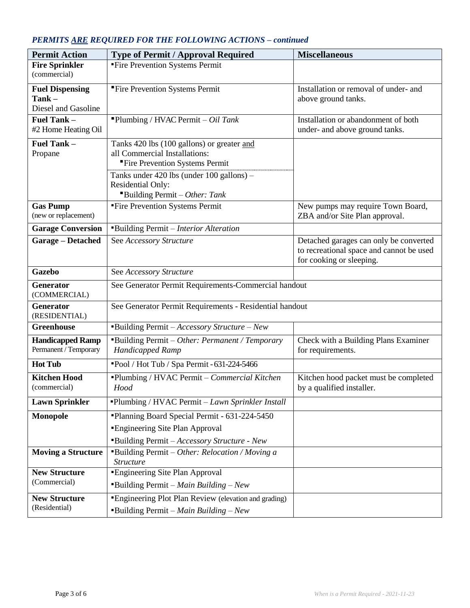## *PERMITS ARE REQUIRED FOR THE FOLLOWING ACTIONS – continued*

| <b>Permit Action</b>                                   | <b>Type of Permit / Approval Required</b>                                                                      | <b>Miscellaneous</b>                                                                                           |
|--------------------------------------------------------|----------------------------------------------------------------------------------------------------------------|----------------------------------------------------------------------------------------------------------------|
| <b>Fire Sprinkler</b><br>(commercial)                  | "Fire Prevention Systems Permit                                                                                |                                                                                                                |
| <b>Fuel Dispensing</b><br>Tank-<br>Diesel and Gasoline | "Fire Prevention Systems Permit                                                                                | Installation or removal of under- and<br>above ground tanks.                                                   |
| Fuel Tank -<br>#2 Home Heating Oil                     | "Plumbing / HVAC Permit $- Oil$ Tank                                                                           | Installation or abandonment of both<br>under- and above ground tanks.                                          |
| Fuel Tank -<br>Propane                                 | Tanks 420 lbs (100 gallons) or greater and<br>all Commercial Installations:<br>"Fire Prevention Systems Permit |                                                                                                                |
|                                                        | Tanks under 420 lbs (under 100 gallons) -<br>Residential Only:<br>"Building Permit - Other: Tank               |                                                                                                                |
| <b>Gas Pump</b><br>(new or replacement)                | "Fire Prevention Systems Permit                                                                                | New pumps may require Town Board,<br>ZBA and/or Site Plan approval.                                            |
| <b>Garage Conversion</b>                               | "Building Permit - Interior Alteration                                                                         |                                                                                                                |
| Garage - Detached                                      | See Accessory Structure                                                                                        | Detached garages can only be converted<br>to recreational space and cannot be used<br>for cooking or sleeping. |
| <b>Gazebo</b>                                          | See Accessory Structure                                                                                        |                                                                                                                |
| Generator<br>(COMMERCIAL)                              | See Generator Permit Requirements-Commercial handout                                                           |                                                                                                                |
| Generator<br>(RESIDENTIAL)                             | See Generator Permit Requirements - Residential handout                                                        |                                                                                                                |
| <b>Greenhouse</b>                                      | "Building Permit - Accessory Structure - New                                                                   |                                                                                                                |
| <b>Handicapped Ramp</b><br>Permanent / Temporary       | "Building Permit - Other: Permanent / Temporary<br>Handicapped Ramp                                            | Check with a Building Plans Examiner<br>for requirements.                                                      |
| <b>Hot Tub</b>                                         | "Pool / Hot Tub / Spa Permit - 631-224-5466                                                                    |                                                                                                                |
| <b>Kitchen Hood</b><br>(commercial)                    | "Plumbing / HVAC Permit - Commercial Kitchen<br>Hood                                                           | Kitchen hood packet must be completed<br>by a qualified installer.                                             |
| <b>Lawn Sprinkler</b>                                  | "Plumbing / HVAC Permit - Lawn Sprinkler Install                                                               |                                                                                                                |
| Monopole                                               | "Planning Board Special Permit - 631-224-5450"                                                                 |                                                                                                                |
|                                                        | <b>Engineering Site Plan Approval</b>                                                                          |                                                                                                                |
|                                                        | "Building Permit - Accessory Structure - New                                                                   |                                                                                                                |
| <b>Moving a Structure</b>                              | <b>Building Permit</b> - Other: Relocation / Moving a<br><b>Structure</b>                                      |                                                                                                                |
| <b>New Structure</b><br>(Commercial)                   | "Engineering Site Plan Approval<br><b>Building Permit</b> – Main Building – New                                |                                                                                                                |
| <b>New Structure</b><br>(Residential)                  | "Engineering Plot Plan Review (elevation and grading)<br><b>Building Permit</b> – Main Building – New          |                                                                                                                |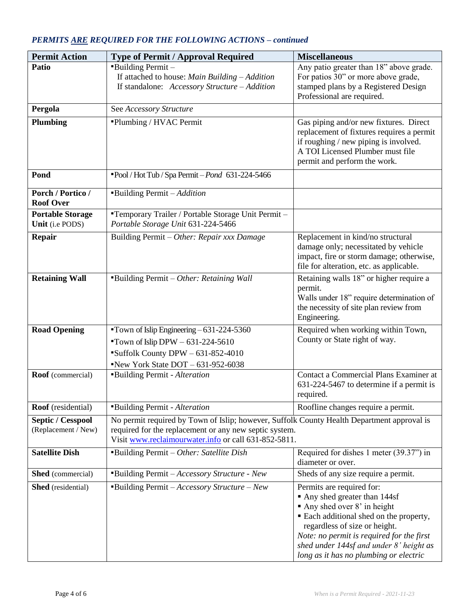| <b>Permit Action</b>                            | <b>Type of Permit / Approval Required</b>                                                                                                                                                                    | <b>Miscellaneous</b>                                                                                                                                                                                                                                                                                   |
|-------------------------------------------------|--------------------------------------------------------------------------------------------------------------------------------------------------------------------------------------------------------------|--------------------------------------------------------------------------------------------------------------------------------------------------------------------------------------------------------------------------------------------------------------------------------------------------------|
| Patio                                           | <b>Building Permit -</b><br>If attached to house: Main Building $-Addition$<br>If standalone: Accessory Structure - Addition                                                                                 | Any patio greater than 18" above grade.<br>For patios 30" or more above grade,<br>stamped plans by a Registered Design<br>Professional are required.                                                                                                                                                   |
| Pergola                                         | See Accessory Structure                                                                                                                                                                                      |                                                                                                                                                                                                                                                                                                        |
| <b>Plumbing</b>                                 | "Plumbing / HVAC Permit                                                                                                                                                                                      | Gas piping and/or new fixtures. Direct<br>replacement of fixtures requires a permit<br>if roughing / new piping is involved.<br>A TOI Licensed Plumber must file<br>permit and perform the work.                                                                                                       |
| Pond                                            | "Pool / Hot Tub / Spa Permit - Pond 631-224-5466                                                                                                                                                             |                                                                                                                                                                                                                                                                                                        |
| Porch / Portico /<br><b>Roof Over</b>           | Building Permit - Addition                                                                                                                                                                                   |                                                                                                                                                                                                                                                                                                        |
| <b>Portable Storage</b><br>Unit (i.e PODS)      | "Temporary Trailer / Portable Storage Unit Permit -<br>Portable Storage Unit 631-224-5466                                                                                                                    |                                                                                                                                                                                                                                                                                                        |
| <b>Repair</b>                                   | Building Permit - Other: Repair xxx Damage                                                                                                                                                                   | Replacement in kind/no structural<br>damage only; necessitated by vehicle<br>impact, fire or storm damage; otherwise,<br>file for alteration, etc. as applicable.                                                                                                                                      |
| <b>Retaining Wall</b>                           | "Building Permit - Other: Retaining Wall                                                                                                                                                                     | Retaining walls 18" or higher require a<br>permit.<br>Walls under 18" require determination of<br>the necessity of site plan review from<br>Engineering.                                                                                                                                               |
| <b>Road Opening</b>                             | Town of Islip Engineering $-631-224-5360$<br>"Town of Islip DPW $-631-224-5610$<br>"Suffolk County DPW - 631-852-4010<br>New York State $DOT - 631-952-6038$                                                 | Required when working within Town,<br>County or State right of way.                                                                                                                                                                                                                                    |
| <b>Roof</b> (commercial)                        | "Building Permit - Alteration                                                                                                                                                                                | Contact a Commercial Plans Examiner at<br>631-224-5467 to determine if a permit is<br>required.                                                                                                                                                                                                        |
| Roof (residential)                              | "Building Permit - Alteration                                                                                                                                                                                | Roofline changes require a permit.                                                                                                                                                                                                                                                                     |
| <b>Septic / Cesspool</b><br>(Replacement / New) | No permit required by Town of Islip; however, Suffolk County Health Department approval is<br>required for the replacement or any new septic system.<br>Visit www.reclaimourwater.info or call 631-852-5811. |                                                                                                                                                                                                                                                                                                        |
| <b>Satellite Dish</b>                           | "Building Permit - Other: Satellite Dish                                                                                                                                                                     | Required for dishes 1 meter (39.37") in<br>diameter or over.                                                                                                                                                                                                                                           |
| <b>Shed</b> (commercial)                        | <b>Building Permit</b> - Accessory Structure - New                                                                                                                                                           | Sheds of any size require a permit.                                                                                                                                                                                                                                                                    |
| <b>Shed</b> (residential)                       | <b>Building Permit</b> $-Ac$ <i>cessory Structure - New</i>                                                                                                                                                  | Permits are required for:<br>• Any shed greater than 144sf<br>Any shed over 8' in height<br>• Each additional shed on the property,<br>regardless of size or height.<br>Note: no permit is required for the first<br>shed under 144sf and under 8' height as<br>long as it has no plumbing or electric |

## *PERMITS ARE REQUIRED FOR THE FOLLOWING ACTIONS – continued*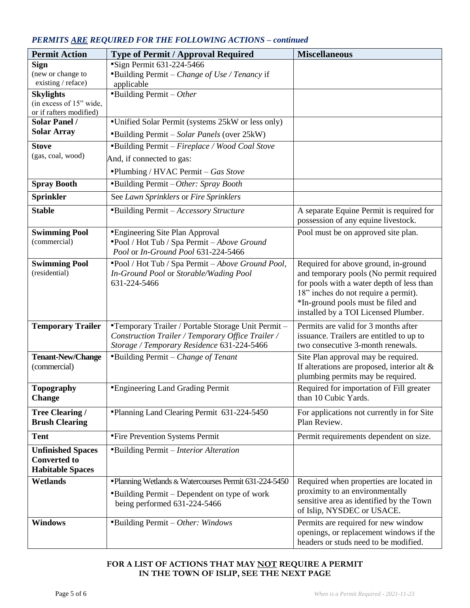#### *PERMITS ARE REQUIRED FOR THE FOLLOWING ACTIONS – continued*

| <b>Permit Action</b>                               | <b>Type of Permit / Approval Required</b>             | <b>Miscellaneous</b>                                                              |
|----------------------------------------------------|-------------------------------------------------------|-----------------------------------------------------------------------------------|
| <b>Sign</b>                                        | "Sign Permit 631-224-5466                             |                                                                                   |
| (new or change to                                  | "Building Permit – Change of Use / Tenancy if         |                                                                                   |
| existing / reface)                                 | applicable                                            |                                                                                   |
| <b>Skylights</b>                                   | <b>Building Permit</b> – Other                        |                                                                                   |
| (in excess of 15" wide,<br>or if rafters modified) |                                                       |                                                                                   |
| <b>Solar Panel /</b>                               | "Unified Solar Permit (systems 25kW or less only)     |                                                                                   |
| <b>Solar Array</b>                                 | "Building Permit - Solar Panels (over 25kW)           |                                                                                   |
| <b>Stove</b>                                       | "Building Permit - Fireplace / Wood Coal Stove        |                                                                                   |
| (gas, coal, wood)                                  | And, if connected to gas:                             |                                                                                   |
|                                                    | "Plumbing / HVAC Permit - Gas Stove                   |                                                                                   |
| <b>Spray Booth</b>                                 | "Building Permit - Other: Spray Booth                 |                                                                                   |
| <b>Sprinkler</b>                                   | See Lawn Sprinklers or Fire Sprinklers                |                                                                                   |
| <b>Stable</b>                                      | "Building Permit - Accessory Structure                | A separate Equine Permit is required for                                          |
|                                                    |                                                       | possession of any equine livestock.                                               |
| <b>Swimming Pool</b>                               | "Engineering Site Plan Approval                       | Pool must be on approved site plan.                                               |
| (commercial)                                       | "Pool / Hot Tub / Spa Permit - Above Ground           |                                                                                   |
|                                                    | Pool or In-Ground Pool 631-224-5466                   |                                                                                   |
| <b>Swimming Pool</b>                               | "Pool / Hot Tub / Spa Permit - Above Ground Pool,     | Required for above ground, in-ground                                              |
| (residential)                                      | In-Ground Pool or Storable/Wading Pool                | and temporary pools (No permit required                                           |
|                                                    | 631-224-5466                                          | for pools with a water depth of less than<br>18" inches do not require a permit). |
|                                                    |                                                       | *In-ground pools must be filed and                                                |
|                                                    |                                                       | installed by a TOI Licensed Plumber.                                              |
| <b>Temporary Trailer</b>                           | "Temporary Trailer / Portable Storage Unit Permit -   | Permits are valid for 3 months after                                              |
|                                                    | Construction Trailer / Temporary Office Trailer /     | issuance. Trailers are entitled to up to                                          |
|                                                    | Storage / Temporary Residence 631-224-5466            | two consecutive 3-month renewals.                                                 |
| <b>Tenant-New/Change</b>                           | <b>Building Permit</b> - Change of Tenant             | Site Plan approval may be required.                                               |
| (commercial)                                       |                                                       | If alterations are proposed, interior alt &                                       |
|                                                    |                                                       | plumbing permits may be required.                                                 |
| <b>Topography</b>                                  | <b>Engineering Land Grading Permit</b>                | Required for importation of Fill greater                                          |
| <b>Change</b>                                      |                                                       | than 10 Cubic Yards.                                                              |
| <b>Tree Clearing /</b>                             | "Planning Land Clearing Permit 631-224-5450"          | For applications not currently in for Site                                        |
| <b>Brush Clearing</b>                              |                                                       | Plan Review.                                                                      |
| <b>Tent</b>                                        | "Fire Prevention Systems Permit                       | Permit requirements dependent on size.                                            |
| <b>Unfinished Spaces</b>                           | "Building Permit - Interior Alteration                |                                                                                   |
| <b>Converted to</b>                                |                                                       |                                                                                   |
| <b>Habitable Spaces</b>                            |                                                       |                                                                                   |
| <b>Wetlands</b>                                    | "Planning Wetlands & Watercourses Permit 631-224-5450 | Required when properties are located in                                           |
|                                                    | "Building Permit – Dependent on type of work          | proximity to an environmentally                                                   |
|                                                    | being performed 631-224-5466                          | sensitive area as identified by the Town<br>of Islip, NYSDEC or USACE.            |
| <b>Windows</b>                                     | "Building Permit - Other: Windows"                    | Permits are required for new window                                               |
|                                                    |                                                       | openings, or replacement windows if the                                           |
|                                                    |                                                       | headers or studs need to be modified.                                             |

#### **FOR A LIST OF ACTIONS THAT MAY NOT REQUIRE A PERMIT IN THE TOWN OF ISLIP, SEE THE NEXT PAGE**